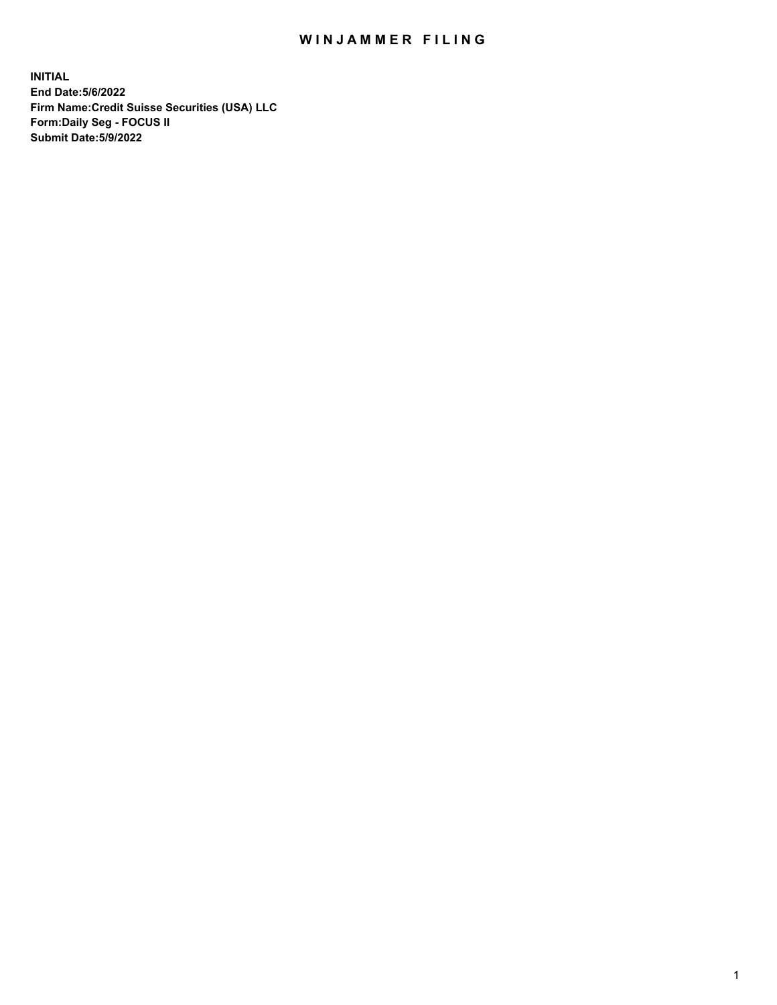# WIN JAMMER FILING

**INITIAL End Date:5/6/2022 Firm Name:Credit Suisse Securities (USA) LLC Form:Daily Seg - FOCUS II Submit Date:5/9/2022**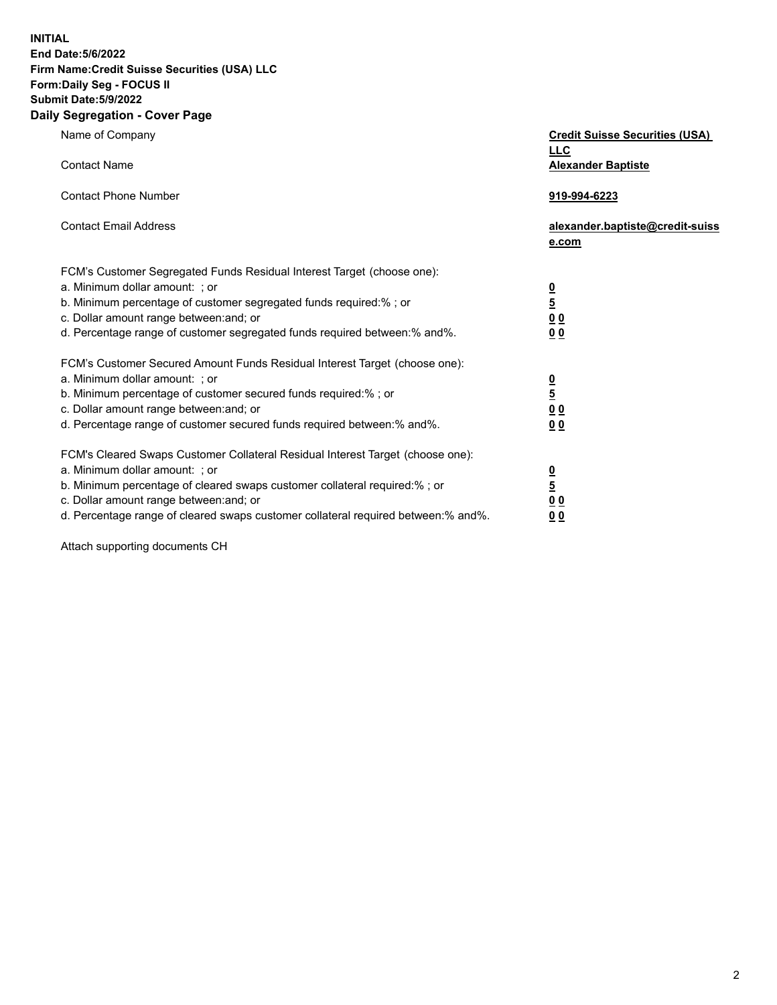**INITIAL**

#### **End Date:5/6/2022 Firm Name:Credit Suisse Securities (USA) LLC**

### **Form:Daily Seg - FOCUS II**

### **Submit Date:5/9/2022**

# **Daily Segregation - Cover Page**

| Name of Company                                                                     | <b>Credit Suisse Securities (USA)</b><br><u>LLC</u> |
|-------------------------------------------------------------------------------------|-----------------------------------------------------|
| <b>Contact Name</b>                                                                 | <b>Alexander Baptiste</b>                           |
| <b>Contact Phone Number</b>                                                         | 919-994-6223                                        |
| <b>Contact Email Address</b>                                                        | alexander.baptiste@credit-suiss<br>e.com            |
| FCM's Customer Segregated Funds Residual Interest Target (choose one):              |                                                     |
| a. Minimum dollar amount: ; or                                                      |                                                     |
| b. Minimum percentage of customer segregated funds required:%; or                   | $\frac{\frac{0}{5}}{\frac{0}{0}}$                   |
| c. Dollar amount range between: and; or                                             |                                                     |
| d. Percentage range of customer segregated funds required between:% and%.           | 0 <sub>0</sub>                                      |
| FCM's Customer Secured Amount Funds Residual Interest Target (choose one):          |                                                     |
| a. Minimum dollar amount: ; or                                                      |                                                     |
| b. Minimum percentage of customer secured funds required:%; or                      | $\frac{0}{5}$                                       |
| c. Dollar amount range between: and; or                                             | 0 <sub>0</sub>                                      |
| d. Percentage range of customer secured funds required between:% and%.              | 0 <sub>0</sub>                                      |
| FCM's Cleared Swaps Customer Collateral Residual Interest Target (choose one):      |                                                     |
| a. Minimum dollar amount: ; or                                                      | $\frac{0}{5}$                                       |
| b. Minimum percentage of cleared swaps customer collateral required:% ; or          |                                                     |
| c. Dollar amount range between: and; or                                             | $\underline{0}$ $\underline{0}$                     |
| d. Percentage range of cleared swaps customer collateral required between: % and %. | 0 <sub>0</sub>                                      |

Attach supporting documents CH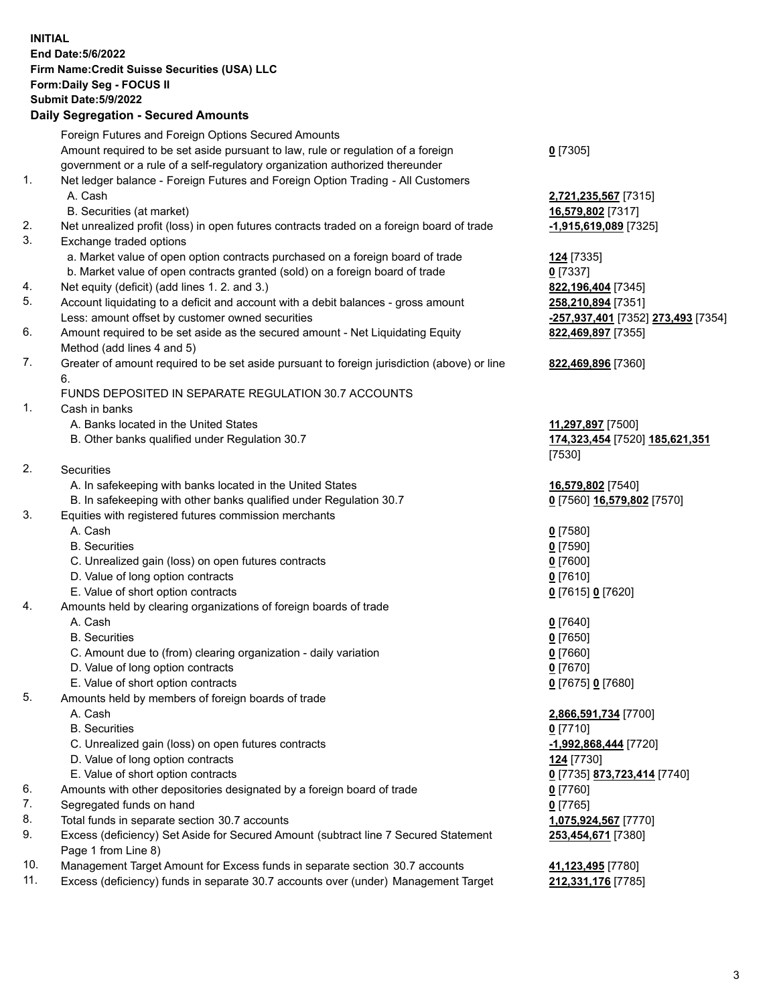#### **INITIAL End Date:5/6/2022 Firm Name:Credit Suisse Securities (USA) LLC Form:Daily Seg - FOCUS II Submit Date:5/9/2022**

#### **Daily Segregation - Secured Amounts**

|     | Foreign Futures and Foreign Options Secured Amounts                                                        |                                                        |
|-----|------------------------------------------------------------------------------------------------------------|--------------------------------------------------------|
|     | Amount required to be set aside pursuant to law, rule or regulation of a foreign                           | $0$ [7305]                                             |
|     | government or a rule of a self-regulatory organization authorized thereunder                               |                                                        |
| 1.  | Net ledger balance - Foreign Futures and Foreign Option Trading - All Customers                            |                                                        |
|     | A. Cash                                                                                                    | 2,721,235,567 [7315]                                   |
|     | B. Securities (at market)                                                                                  | 16,579,802 [7317]                                      |
| 2.  | Net unrealized profit (loss) in open futures contracts traded on a foreign board of trade                  | -1,915,619,089 [7325]                                  |
| 3.  | Exchange traded options                                                                                    |                                                        |
|     | a. Market value of open option contracts purchased on a foreign board of trade                             | <b>124</b> [7335]                                      |
|     | b. Market value of open contracts granted (sold) on a foreign board of trade                               | $0$ [7337]                                             |
| 4.  | Net equity (deficit) (add lines 1. 2. and 3.)                                                              | 822,196,404 [7345]                                     |
| 5.  | Account liquidating to a deficit and account with a debit balances - gross amount                          | 258,210,894 [7351]                                     |
|     | Less: amount offset by customer owned securities                                                           | <mark>-257,937,401</mark> [7352] <b>273,493</b> [7354] |
| 6.  | Amount required to be set aside as the secured amount - Net Liquidating Equity                             | 822,469,897 [7355]                                     |
|     | Method (add lines 4 and 5)                                                                                 |                                                        |
| 7.  | Greater of amount required to be set aside pursuant to foreign jurisdiction (above) or line                | 822,469,896 [7360]                                     |
|     | 6.<br>FUNDS DEPOSITED IN SEPARATE REGULATION 30.7 ACCOUNTS                                                 |                                                        |
| 1.  | Cash in banks                                                                                              |                                                        |
|     | A. Banks located in the United States                                                                      | 11,297,897 [7500]                                      |
|     | B. Other banks qualified under Regulation 30.7                                                             | 174,323,454 [7520] 185,621,351                         |
|     |                                                                                                            | [7530]                                                 |
| 2.  | Securities                                                                                                 |                                                        |
|     | A. In safekeeping with banks located in the United States                                                  | 16,579,802 [7540]                                      |
|     | B. In safekeeping with other banks qualified under Regulation 30.7                                         | 0 [7560] 16,579,802 [7570]                             |
| 3.  | Equities with registered futures commission merchants                                                      |                                                        |
|     | A. Cash                                                                                                    | $0$ [7580]                                             |
|     | <b>B.</b> Securities                                                                                       | $0$ [7590]                                             |
|     | C. Unrealized gain (loss) on open futures contracts                                                        | $0$ [7600]                                             |
|     | D. Value of long option contracts                                                                          | $0$ [7610]                                             |
|     | E. Value of short option contracts                                                                         | 0 [7615] 0 [7620]                                      |
| 4.  | Amounts held by clearing organizations of foreign boards of trade                                          |                                                        |
|     | A. Cash                                                                                                    | $0$ [7640]                                             |
|     | <b>B.</b> Securities                                                                                       | $0$ [7650]                                             |
|     | C. Amount due to (from) clearing organization - daily variation                                            | $0$ [7660]                                             |
|     | D. Value of long option contracts                                                                          | $0$ [7670]                                             |
|     | E. Value of short option contracts                                                                         | 0 [7675] 0 [7680]                                      |
| 5.  | Amounts held by members of foreign boards of trade                                                         |                                                        |
|     | A. Cash                                                                                                    | 2,866,591,734 [7700]                                   |
|     | <b>B.</b> Securities                                                                                       | $0$ [7710]                                             |
|     | C. Unrealized gain (loss) on open futures contracts                                                        | -1,992,868,444 [7720]                                  |
|     | D. Value of long option contracts                                                                          | 124 [7730]                                             |
|     | E. Value of short option contracts                                                                         | 0 [7735] 873,723,414 [7740]                            |
| 6.  | Amounts with other depositories designated by a foreign board of trade                                     | $0$ [7760]                                             |
| 7.  | Segregated funds on hand                                                                                   | $0$ [7765]                                             |
| 8.  | Total funds in separate section 30.7 accounts                                                              | 1,075,924,567 [7770]                                   |
| 9.  | Excess (deficiency) Set Aside for Secured Amount (subtract line 7 Secured Statement<br>Page 1 from Line 8) | 253,454,671 [7380]                                     |
| 10. | Management Target Amount for Excess funds in separate section 30.7 accounts                                | 41,123,495 [7780]                                      |
|     |                                                                                                            |                                                        |

11. Excess (deficiency) funds in separate 30.7 accounts over (under) Management Target **212,331,176** [7785]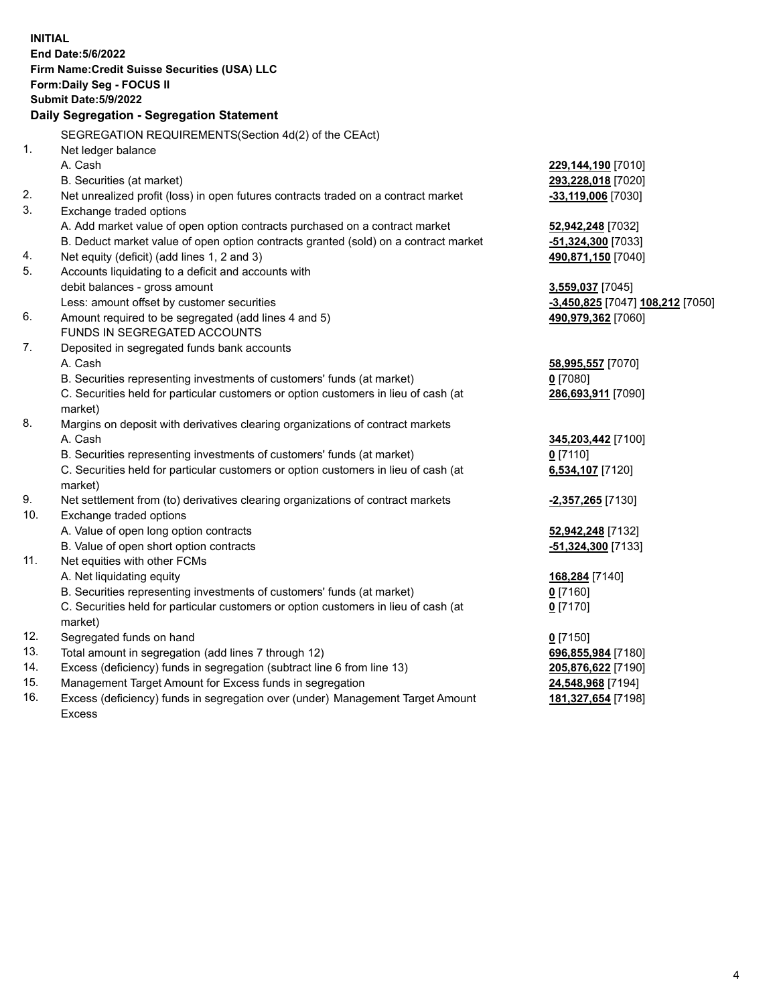| <b>INITIAL</b> |                                                                                     |                                  |
|----------------|-------------------------------------------------------------------------------------|----------------------------------|
|                | End Date: 5/6/2022                                                                  |                                  |
|                | Firm Name: Credit Suisse Securities (USA) LLC                                       |                                  |
|                | Form: Daily Seg - FOCUS II                                                          |                                  |
|                | <b>Submit Date: 5/9/2022</b>                                                        |                                  |
|                | Daily Segregation - Segregation Statement                                           |                                  |
|                | SEGREGATION REQUIREMENTS(Section 4d(2) of the CEAct)                                |                                  |
| 1.             | Net ledger balance                                                                  |                                  |
|                | A. Cash                                                                             | 229,144,190 [7010]               |
|                | B. Securities (at market)                                                           | 293,228,018 [7020]               |
| 2.             | Net unrealized profit (loss) in open futures contracts traded on a contract market  | -33,119,006 [7030]               |
| 3.             | Exchange traded options                                                             |                                  |
|                | A. Add market value of open option contracts purchased on a contract market         | 52,942,248 [7032]                |
|                | B. Deduct market value of open option contracts granted (sold) on a contract market | $-51,324,300$ [7033]             |
| 4.             | Net equity (deficit) (add lines 1, 2 and 3)                                         | 490,871,150 [7040]               |
| 5.             | Accounts liquidating to a deficit and accounts with                                 |                                  |
|                | debit balances - gross amount                                                       | 3,559,037 [7045]                 |
|                | Less: amount offset by customer securities                                          | -3,450,825 [7047] 108,212 [7050] |
| 6.             | Amount required to be segregated (add lines 4 and 5)                                | 490,979,362 [7060]               |
|                | FUNDS IN SEGREGATED ACCOUNTS                                                        |                                  |
| 7.             | Deposited in segregated funds bank accounts                                         |                                  |
|                | A. Cash                                                                             | 58,995,557 [7070]                |
|                | B. Securities representing investments of customers' funds (at market)              | $0$ [7080]                       |
|                | C. Securities held for particular customers or option customers in lieu of cash (at | 286,693,911 [7090]               |
|                | market)                                                                             |                                  |
| 8.             | Margins on deposit with derivatives clearing organizations of contract markets      |                                  |
|                | A. Cash                                                                             | 345,203,442 [7100]               |
|                | B. Securities representing investments of customers' funds (at market)              | $0$ [7110]                       |
|                | C. Securities held for particular customers or option customers in lieu of cash (at | 6,534,107 [7120]                 |
|                | market)                                                                             |                                  |
| 9.             | Net settlement from (to) derivatives clearing organizations of contract markets     | -2,357,265 [7130]                |
| 10.            | Exchange traded options                                                             |                                  |
|                | A. Value of open long option contracts                                              | 52,942,248 [7132]                |
|                | B. Value of open short option contracts                                             | -51,324,300 [7133]               |
| 11.            | Net equities with other FCMs                                                        |                                  |
|                | A. Net liquidating equity                                                           | 168,284 [7140]                   |
|                | B. Securities representing investments of customers' funds (at market)              | $0$ [7160]                       |
|                | C. Securities held for particular customers or option customers in lieu of cash (at | $0$ [7170]                       |
|                | market)                                                                             |                                  |
| 12.            | Segregated funds on hand                                                            | $0$ [7150]                       |
| 13.            | Total amount in segregation (add lines 7 through 12)                                | 696,855,984 [7180]               |
| 14.            | Excess (deficiency) funds in segregation (subtract line 6 from line 13)             | 205,876,622 [7190]               |
| 15.            | Management Target Amount for Excess funds in segregation                            | 24,548,968 [7194]                |
| 16.            | Excess (deficiency) funds in segregation over (under) Management Target Amount      | 181, 327, 654 [7198]             |
|                | <b>Excess</b>                                                                       |                                  |